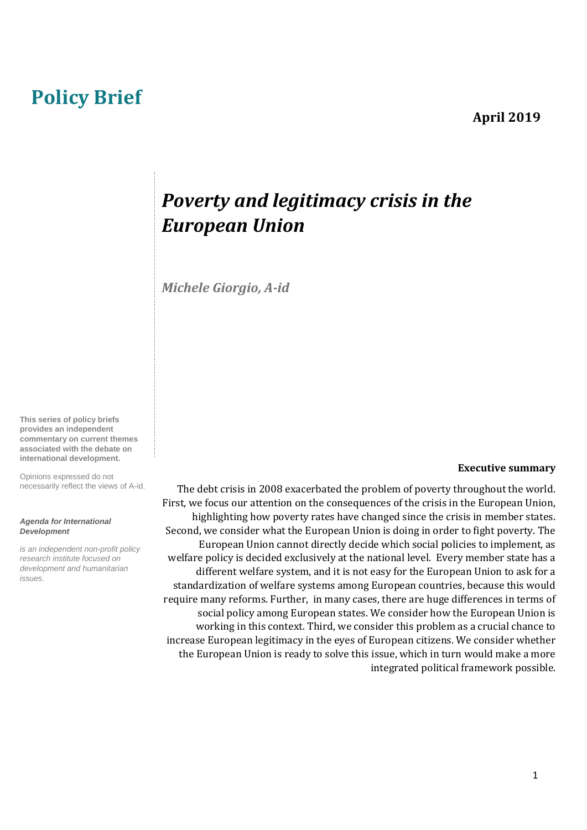# **Policy Brief**

## **April 2019**

# *Poverty and legitimacy crisis in the European Union*

*Michele Giorgio, A-id* 

**This series of policy briefs provides an independent commentary on current themes associated with the debate on international development.** 

Opinions expressed do not necessarily reflect the views of A-id.

#### *Agenda for International Development*

*is an independent non-profit policy research institute focused on development and humanitarian issues*.

#### **Executive summary**

The debt crisis in 2008 exacerbated the problem of poverty throughout the world. First, we focus our attention on the consequences of the crisis in the European Union, highlighting how poverty rates have changed since the crisis in member states. Second, we consider what the European Union is doing in order to fight poverty. The European Union cannot directly decide which social policies to implement, as welfare policy is decided exclusively at the national level. Every member state has a different welfare system, and it is not easy for the European Union to ask for a standardization of welfare systems among European countries, because this would require many reforms. Further, in many cases, there are huge differences in terms of social policy among European states. We consider how the European Union is working in this context. Third, we consider this problem as a crucial chance to increase European legitimacy in the eyes of European citizens. We consider whether the European Union is ready to solve this issue, which in turn would make a more integrated political framework possible.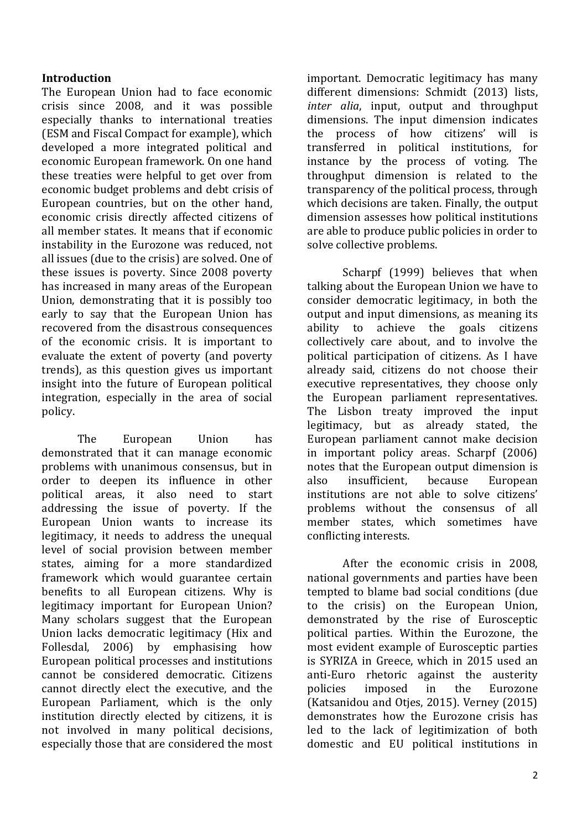### **Introduction**

The European Union had to face economic crisis since 2008, and it was possible especially thanks to international treaties (ESM and Fiscal Compact for example), which developed a more integrated political and economic European framework. On one hand these treaties were helpful to get over from economic budget problems and debt crisis of European countries, but on the other hand, economic crisis directly affected citizens of all member states. It means that if economic instability in the Eurozone was reduced, not all issues (due to the crisis) are solved. One of these issues is poverty. Since 2008 poverty has increased in many areas of the European Union, demonstrating that it is possibly too early to say that the European Union has recovered from the disastrous consequences of the economic crisis. It is important to evaluate the extent of poverty (and poverty trends), as this question gives us important insight into the future of European political integration, especially in the area of social policy.

The European Union has demonstrated that it can manage economic problems with unanimous consensus, but in order to deepen its influence in other political areas, it also need to start addressing the issue of poverty. If the European Union wants to increase its legitimacy, it needs to address the unequal level of social provision between member states, aiming for a more standardized framework which would guarantee certain benefits to all European citizens. Why is legitimacy important for European Union? Many scholars suggest that the European Union lacks democratic legitimacy (Hix and Follesdal, 2006) by emphasising how European political processes and institutions cannot be considered democratic. Citizens cannot directly elect the executive, and the European Parliament, which is the only institution directly elected by citizens, it is not involved in many political decisions, especially those that are considered the most important. Democratic legitimacy has many different dimensions: Schmidt (2013) lists, *inter alia*, input, output and throughput dimensions. The input dimension indicates the process of how citizens' will is transferred in political institutions, for instance by the process of voting. The throughput dimension is related to the transparency of the political process, through which decisions are taken. Finally, the output dimension assesses how political institutions are able to produce public policies in order to solve collective problems.

Scharpf (1999) believes that when talking about the European Union we have to consider democratic legitimacy, in both the output and input dimensions, as meaning its ability to achieve the goals citizens collectively care about, and to involve the political participation of citizens. As I have already said, citizens do not choose their executive representatives, they choose only the European parliament representatives. The Lisbon treaty improved the input legitimacy, but as already stated, the European parliament cannot make decision in important policy areas. Scharpf (2006) notes that the European output dimension is also insufficient, because European institutions are not able to solve citizens' problems without the consensus of all member states, which sometimes have conflicting interests.

After the economic crisis in 2008, national governments and parties have been tempted to blame bad social conditions (due to the crisis) on the European Union, demonstrated by the rise of Eurosceptic political parties. Within the Eurozone, the most evident example of Eurosceptic parties is SYRIZA in Greece, which in 2015 used an anti-Euro rhetoric against the austerity policies imposed in the Eurozone (Katsanidou and Otjes, 2015). Verney (2015) demonstrates how the Eurozone crisis has led to the lack of legitimization of both domestic and EU political institutions in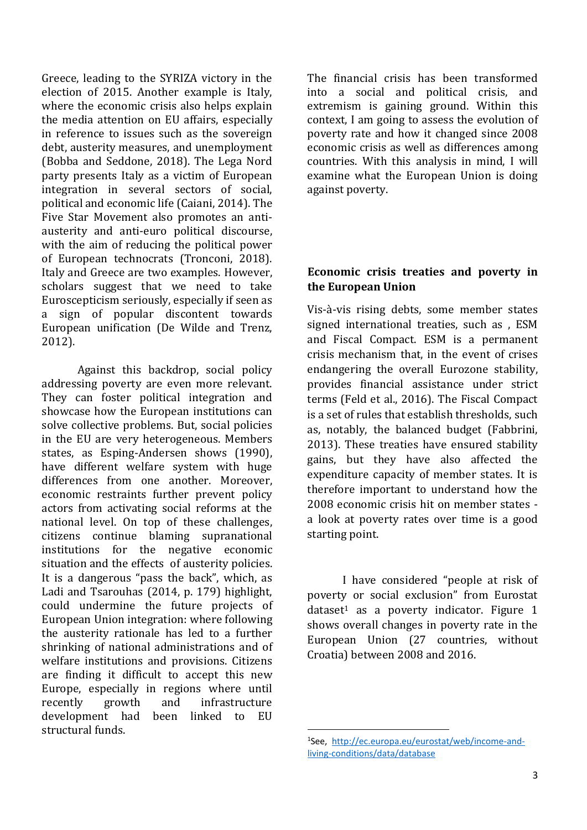Greece, leading to the SYRIZA victory in the election of 2015. Another example is Italy, where the economic crisis also helps explain the media attention on EU affairs, especially in reference to issues such as the sovereign debt, austerity measures, and unemployment (Bobba and Seddone, 2018). The Lega Nord party presents Italy as a victim of European integration in several sectors of social, political and economic life (Caiani, 2014). The Five Star Movement also promotes an antiausterity and anti-euro political discourse, with the aim of reducing the political power of European technocrats (Tronconi, 2018). Italy and Greece are two examples. However, scholars suggest that we need to take Euroscepticism seriously, especially if seen as a sign of popular discontent towards European unification (De Wilde and Trenz, 2012).

Against this backdrop, social policy addressing poverty are even more relevant. They can foster political integration and showcase how the European institutions can solve collective problems. But, social policies in the EU are very heterogeneous. Members states, as Esping-Andersen shows (1990), have different welfare system with huge differences from one another. Moreover, economic restraints further prevent policy actors from activating social reforms at the national level. On top of these challenges, citizens continue blaming supranational institutions for the negative economic situation and the effects of austerity policies. It is a dangerous "pass the back", which, as Ladi and Tsarouhas (2014, p. 179) highlight, could undermine the future projects of European Union integration: where following the austerity rationale has led to a further shrinking of national administrations and of welfare institutions and provisions. Citizens are finding it difficult to accept this new Europe, especially in regions where until recently growth and infrastructure development had been linked to EU structural funds.

The financial crisis has been transformed into a social and political crisis, and extremism is gaining ground. Within this context, I am going to assess the evolution of poverty rate and how it changed since 2008 economic crisis as well as differences among countries. With this analysis in mind, I will examine what the European Union is doing against poverty.

### **Economic crisis treaties and poverty in the European Union**

Vis-à-vis rising debts, some member states signed international treaties, such as , ESM and Fiscal Compact. ESM is a permanent crisis mechanism that, in the event of crises endangering the overall Eurozone stability, provides financial assistance under strict terms (Feld et al., 2016). The Fiscal Compact is a set of rules that establish thresholds, such as, notably, the balanced budget (Fabbrini, 2013). These treaties have ensured stability gains, but they have also affected the expenditure capacity of member states. It is therefore important to understand how the 2008 economic crisis hit on member states a look at poverty rates over time is a good starting point.

I have considered "people at risk of poverty or social exclusion" from Eurostat dataset<sup>1</sup> as a poverty indicator. Figure  $1$ shows overall changes in poverty rate in the European Union (27 countries, without Croatia) between 2008 and 2016.

 $\overline{a}$ 

<sup>1</sup> See, [http://ec.europa.eu/eurostat/web/income-and](http://ec.europa.eu/eurostat/web/income-and-living-conditions/data/database)[living-conditions/data/database](http://ec.europa.eu/eurostat/web/income-and-living-conditions/data/database)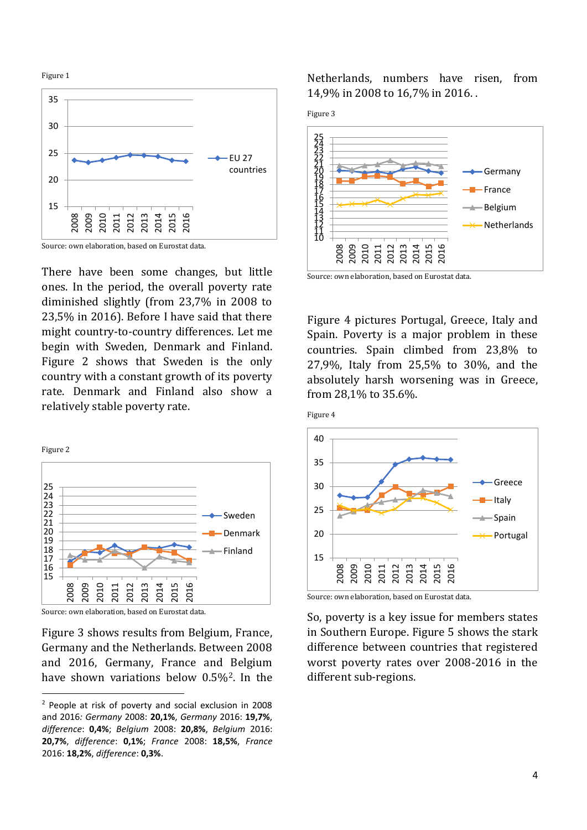Figure 1



Source: own elaboration, based on Eurostat data.

There have been some changes, but little ones. In the period, the overall poverty rate diminished slightly (from 23,7% in 2008 to 23,5% in 2016). Before I have said that there might country-to-country differences. Let me begin with Sweden, Denmark and Finland. Figure 2 shows that Sweden is the only country with a constant growth of its poverty rate. Denmark and Finland also show a relatively stable poverty rate.



Source: own elaboration, based on Eurostat data.

 $\overline{a}$ 

Figure 3 shows results from Belgium, France, Germany and the Netherlands. Between 2008 and 2016, Germany, France and Belgium have shown variations below 0.5%2. In the Netherlands, numbers have risen, from 14,9% in 2008 to 16,7% in 2016. .





Source: own elaboration, based on Eurostat data.

Figure 4 pictures Portugal, Greece, Italy and Spain. Poverty is a major problem in these countries. Spain climbed from 23,8% to 27,9%, Italy from 25,5% to 30%, and the absolutely harsh worsening was in Greece, from 28,1% to 35.6%.





Source: own elaboration, based on Eurostat data.

So, poverty is a key issue for members states in Southern Europe. Figure 5 shows the stark difference between countries that registered worst poverty rates over 2008-2016 in the different sub-regions.

<sup>2</sup> People at risk of poverty and social exclusion in 2008 and 2016*: Germany* 2008: **20,1%**, *Germany* 2016: **19,7%**, *difference*: **0,4%**; *Belgium* 2008: **20,8%**, *Belgium* 2016: **20,7%**, *difference*: **0,1%**; *France* 2008: **18,5%**, *France* 2016: **18,2%**, *difference*: **0,3%**.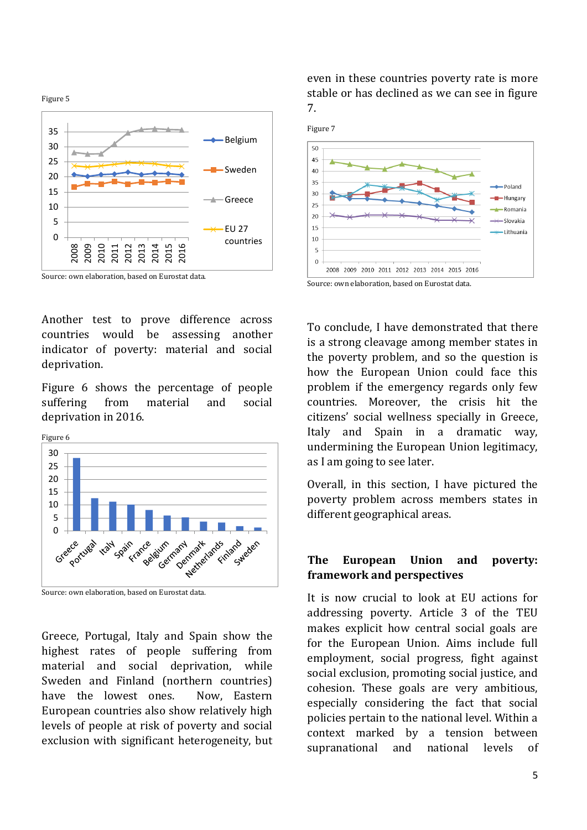Figure 5





Another test to prove difference across countries would be assessing another indicator of poverty: material and social deprivation.

Figure 6 shows the percentage of people suffering from material and social deprivation in 2016.



Source: own elaboration, based on Eurostat data.

Greece, Portugal, Italy and Spain show the highest rates of people suffering from material and social deprivation, while Sweden and Finland (northern countries) have the lowest ones. Now, Eastern European countries also show relatively high levels of people at risk of poverty and social exclusion with significant heterogeneity, but even in these countries poverty rate is more stable or has declined as we can see in figure 7.



To conclude, I have demonstrated that there is a strong cleavage among member states in the poverty problem, and so the question is how the European Union could face this problem if the emergency regards only few countries. Moreover, the crisis hit the citizens' social wellness specially in Greece, Italy and Spain in a dramatic way, undermining the European Union legitimacy, as I am going to see later.

Overall, in this section, I have pictured the poverty problem across members states in different geographical areas.

#### **The European Union and poverty: framework and perspectives**

It is now crucial to look at EU actions for addressing poverty. Article 3 of the TEU makes explicit how central social goals are for the European Union. Aims include full employment, social progress, fight against social exclusion, promoting social justice, and cohesion. These goals are very ambitious, especially considering the fact that social policies pertain to the national level. Within a context marked by a tension between supranational and national levels of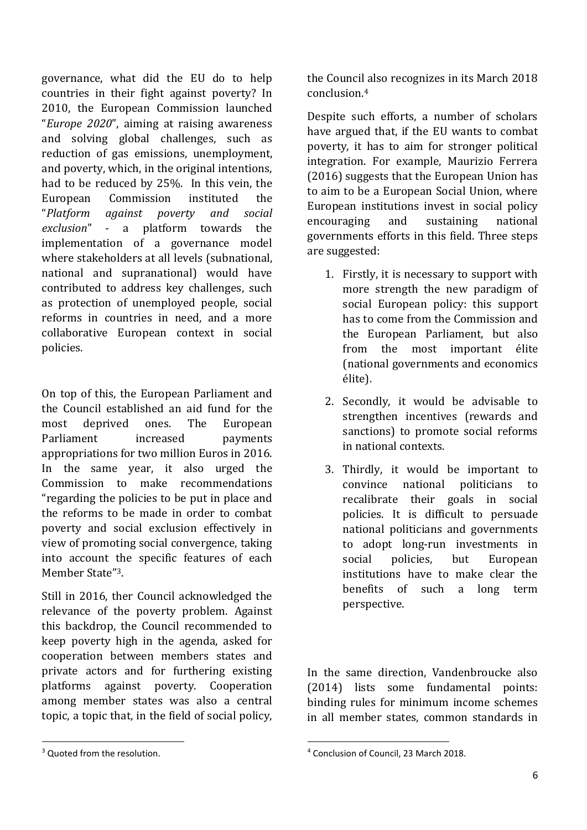governance, what did the EU do to help countries in their fight against poverty? In 2010, the European Commission launched "*Europe 2020*", aiming at raising awareness and solving global challenges, such as reduction of gas emissions, unemployment, and poverty, which, in the original intentions, had to be reduced by 25%. In this vein, the European Commission instituted the "*Platform against poverty and social exclusion*" - a platform towards the implementation of a governance model where stakeholders at all levels (subnational, national and supranational) would have contributed to address key challenges, such as protection of unemployed people, social reforms in countries in need, and a more collaborative European context in social policies.

On top of this, the European Parliament and the Council established an aid fund for the most deprived ones. The European Parliament increased payments appropriations for two million Euros in 2016. In the same year, it also urged the Commission to make recommendations "regarding the policies to be put in place and the reforms to be made in order to combat poverty and social exclusion effectively in view of promoting social convergence, taking into account the specific features of each Member State"3.

Still in 2016, ther Council acknowledged the relevance of the poverty problem. Against this backdrop, the Council recommended to keep poverty high in the agenda, asked for cooperation between members states and private actors and for furthering existing platforms against poverty. Cooperation among member states was also a central topic, a topic that, in the field of social policy,

<sup>3</sup> Quoted from the resolution.

 $\overline{a}$ 

the Council also recognizes in its March 2018 conclusion.<sup>4</sup>

Despite such efforts, a number of scholars have argued that, if the EU wants to combat poverty, it has to aim for stronger political integration. For example, Maurizio Ferrera (2016) suggests that the European Union has to aim to be a European Social Union, where European institutions invest in social policy encouraging and sustaining national governments efforts in this field. Three steps are suggested:

- 1. Firstly, it is necessary to support with more strength the new paradigm of social European policy: this support has to come from the Commission and the European Parliament, but also from the most important élite (national governments and economics élite).
- 2. Secondly, it would be advisable to strengthen incentives (rewards and sanctions) to promote social reforms in national contexts.
- 3. Thirdly, it would be important to convince national politicians to recalibrate their goals in social policies. It is difficult to persuade national politicians and governments to adopt long-run investments in social policies, but European institutions have to make clear the benefits of such a long term perspective.

In the same direction, Vandenbroucke also (2014) lists some fundamental points: binding rules for minimum income schemes in all member states, common standards in

1

<sup>4</sup> Conclusion of Council, 23 March 2018.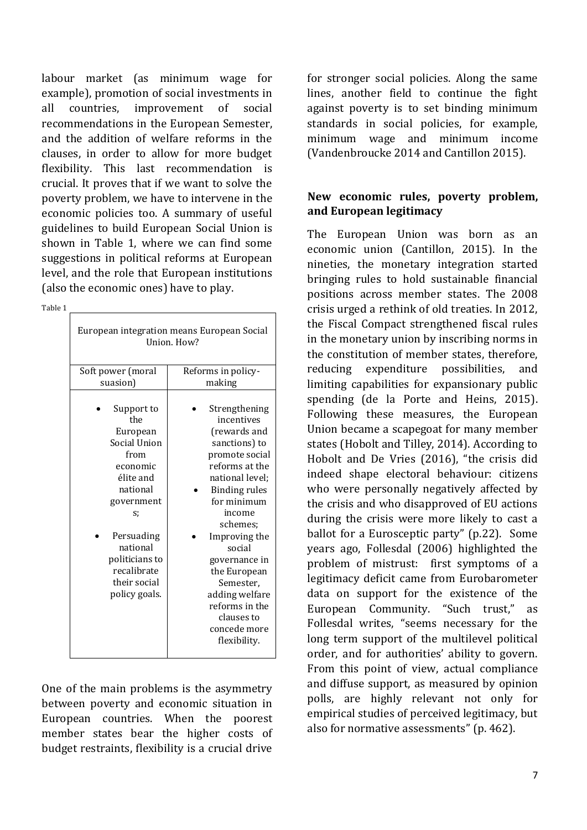labour market (as minimum wage for example), promotion of social investments in all countries, improvement of social recommendations in the European Semester, and the addition of welfare reforms in the clauses, in order to allow for more budget flexibility. This last recommendation is crucial. It proves that if we want to solve the poverty problem, we have to intervene in the economic policies too. A summary of useful guidelines to build European Social Union is shown in Table 1, where we can find some suggestions in political reforms at European level, and the role that European institutions (also the economic ones) have to play.

Table 1

| European integration means European Social<br>Union. How?                                                                                                                                                  |                                                                                                                                                                                                                                                                                                                                             |
|------------------------------------------------------------------------------------------------------------------------------------------------------------------------------------------------------------|---------------------------------------------------------------------------------------------------------------------------------------------------------------------------------------------------------------------------------------------------------------------------------------------------------------------------------------------|
| Soft power (moral<br>suasion)                                                                                                                                                                              | Reforms in policy-<br>making                                                                                                                                                                                                                                                                                                                |
|                                                                                                                                                                                                            |                                                                                                                                                                                                                                                                                                                                             |
| Support to<br>the<br>European<br>Social Union<br>from<br>economic<br>élite and<br>national<br>government<br>s:<br>Persuading<br>national<br>politicians to<br>recalibrate<br>their social<br>policy goals. | Strengthening<br>incentives<br>(rewards and<br>sanctions) to<br>promote social<br>reforms at the<br>national level;<br><b>Binding rules</b><br>for minimum<br>income<br>schemes;<br>Improving the<br>social<br>governance in<br>the European<br>Semester,<br>adding welfare<br>reforms in the<br>clauses to<br>concede more<br>flexibility. |
|                                                                                                                                                                                                            |                                                                                                                                                                                                                                                                                                                                             |

One of the main problems is the asymmetry between poverty and economic situation in European countries. When the poorest member states bear the higher costs of budget restraints, flexibility is a crucial drive

for stronger social policies. Along the same lines, another field to continue the fight against poverty is to set binding minimum standards in social policies, for example, minimum wage and minimum income (Vandenbroucke 2014 and Cantillon 2015).

### **New economic rules, poverty problem, and European legitimacy**

The European Union was born as an economic union (Cantillon, 2015). In the nineties, the monetary integration started bringing rules to hold sustainable financial positions across member states. The 2008 crisis urged a rethink of old treaties. In 2012, the Fiscal Compact strengthened fiscal rules in the monetary union by inscribing norms in the constitution of member states, therefore, reducing expenditure possibilities, and limiting capabilities for expansionary public spending (de la Porte and Heins, 2015). Following these measures, the European Union became a scapegoat for many member states (Hobolt and Tilley, 2014). According to Hobolt and De Vries (2016), "the crisis did indeed shape electoral behaviour: citizens who were personally negatively affected by the crisis and who disapproved of EU actions during the crisis were more likely to cast a ballot for a Eurosceptic party" (p.22). Some years ago, Follesdal (2006) highlighted the problem of mistrust: first symptoms of a legitimacy deficit came from Eurobarometer data on support for the existence of the European Community. "Such trust," as Follesdal writes, "seems necessary for the long term support of the multilevel political order, and for authorities' ability to govern. From this point of view, actual compliance and diffuse support, as measured by opinion polls, are highly relevant not only for empirical studies of perceived legitimacy, but also for normative assessments" (p. 462).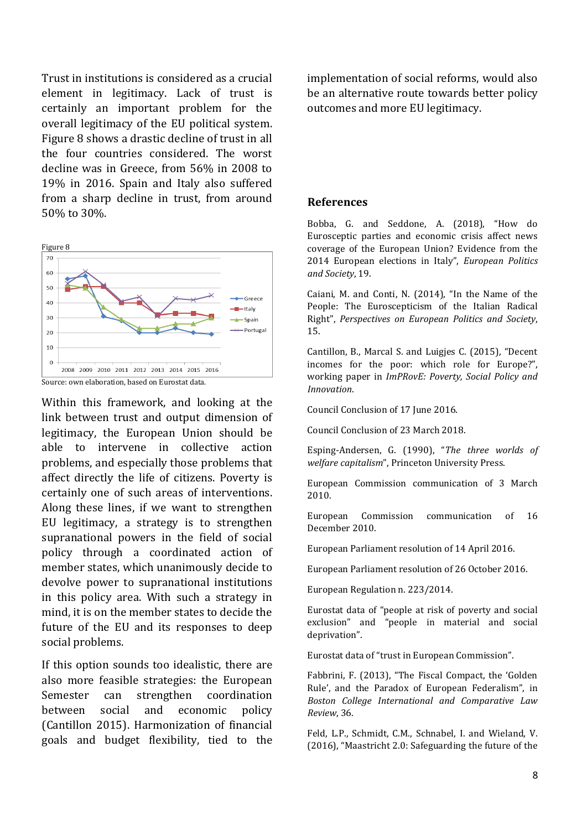Trust in institutions is considered as a crucial element in legitimacy. Lack of trust is certainly an important problem for the overall legitimacy of the EU political system. Figure 8 shows a drastic decline of trust in all the four countries considered. The worst decline was in Greece, from 56% in 2008 to 19% in 2016. Spain and Italy also suffered from a sharp decline in trust, from around 50% to 30%.



Within this framework, and looking at the link between trust and output dimension of legitimacy, the European Union should be able to intervene in collective action problems, and especially those problems that affect directly the life of citizens. Poverty is certainly one of such areas of interventions. Along these lines, if we want to strengthen EU legitimacy, a strategy is to strengthen supranational powers in the field of social policy through a coordinated action of member states, which unanimously decide to devolve power to supranational institutions in this policy area. With such a strategy in mind, it is on the member states to decide the future of the EU and its responses to deep social problems.

If this option sounds too idealistic, there are also more feasible strategies: the European Semester can strengthen coordination between social and economic policy (Cantillon 2015). Harmonization of financial goals and budget flexibility, tied to the implementation of social reforms, would also be an alternative route towards better policy outcomes and more EU legitimacy.

#### **References**

Bobba, G. and Seddone, A. (2018), "How do Eurosceptic parties and economic crisis affect news coverage of the European Union? Evidence from the 2014 European elections in Italy", *European Politics and Society*, 19.

Caiani, M. and Conti, N. (2014), "In the Name of the People: The Euroscepticism of the Italian Radical Right", *Perspectives on European Politics and Society*, 15.

Cantillon, B., Marcal S. and Luigjes C. (2015), "Decent incomes for the poor: which role for Europe?", working paper in *ImPRovE: Poverty, Social Policy and Innovation*.

Council Conclusion of 17 June 2016.

Council Conclusion of 23 March 2018.

Esping-Andersen, G. (1990), "*The three worlds of welfare capitalism*", Princeton University Press.

European Commission communication of 3 March 2010.

European Commission communication of 16 December 2010.

European Parliament resolution of 14 April 2016.

European Parliament resolution of 26 October 2016.

European Regulation n. 223/2014.

Eurostat data of "people at risk of poverty and social exclusion" and "people in material and social deprivation".

Eurostat data of "trust in European Commission".

Fabbrini, F. (2013), "The Fiscal Compact, the 'Golden Rule', and the Paradox of European Federalism", in *Boston College International and Comparative Law Review*, 36.

Feld, L.P., Schmidt, C.M., Schnabel, I. and Wieland, V. (2016), "Maastricht 2.0: Safeguarding the future of the